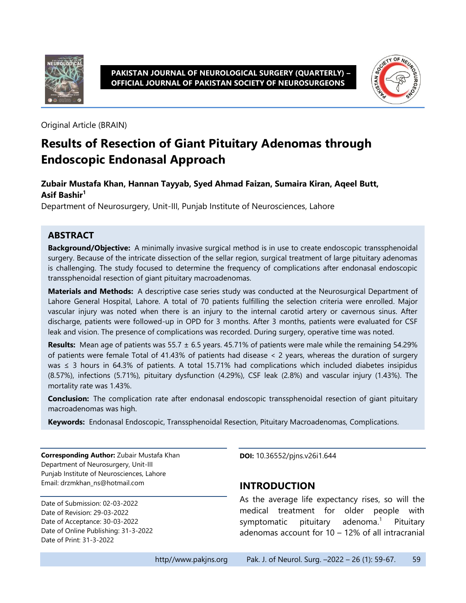

**PAKISTAN JOURNAL OF NEUROLOGICAL SURGERY (QUARTERLY) – OFFICIAL JOURNAL OF PAKISTAN SOCIETY OF NEUROSURGEONS**



Original Article (BRAIN)

# **Results of Resection of Giant Pituitary Adenomas through Endoscopic Endonasal Approach**

#### **Zubair Mustafa Khan, Hannan Tayyab, Syed Ahmad Faizan, Sumaira Kiran, Aqeel Butt, Asif Bashir<sup>1</sup>**

Department of Neurosurgery, Unit-III, Punjab Institute of Neurosciences, Lahore

#### **ABSTRACT**

**Background/Objective:** A minimally invasive surgical method is in use to create endoscopic transsphenoidal surgery. Because of the intricate dissection of the sellar region, surgical treatment of large pituitary adenomas is challenging. The study focused to determine the frequency of complications after endonasal endoscopic transsphenoidal resection of giant pituitary macroadenomas.

**Materials and Methods:** A descriptive case series study was conducted at the Neurosurgical Department of Lahore General Hospital, Lahore. A total of 70 patients fulfilling the selection criteria were enrolled. Major vascular injury was noted when there is an injury to the internal carotid artery or cavernous sinus. After discharge, patients were followed-up in OPD for 3 months. After 3 months, patients were evaluated for CSF leak and vision. The presence of complications was recorded. During surgery, operative time was noted.

**Results:** Mean age of patients was 55.7 ± 6.5 years. 45.71% of patients were male while the remaining 54.29% of patients were female Total of 41.43% of patients had disease < 2 years, whereas the duration of surgery was ≤ 3 hours in 64.3% of patients. A total 15.71% had complications which included diabetes insipidus (8.57%), infections (5.71%), pituitary dysfunction (4.29%), CSF leak (2.8%) and vascular injury (1.43%). The mortality rate was 1.43%.

**Conclusion:** The complication rate after endonasal endoscopic transsphenoidal resection of giant pituitary macroadenomas was high.

**Keywords:** Endonasal Endoscopic, Transsphenoidal Resection, Pituitary Macroadenomas, Complications.

**Corresponding Author:** Zubair Mustafa Khan Department of Neurosurgery, Unit-III Punjab Institute of Neurosciences, Lahore Email: drzmkhan\_ns@hotmail.com

Date of Submission: 02-03-2022 Date of Revision: 29-03-2022 Date of Acceptance: 30-03-2022 Date of Online Publishing: 31-3-2022 Date of Print: 31-3-2022

**DOI:** 10.36552/pjns.v26i1.644

#### **INTRODUCTION**

As the average life expectancy rises, so will the medical treatment for older people with symptomatic pituitary adenoma. **Pituitary** adenomas account for 10 – 12% of all intracranial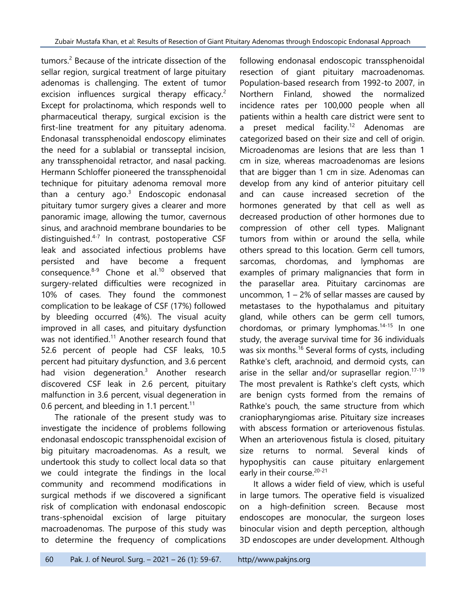tumors. <sup>2</sup> Because of the intricate dissection of the sellar region, surgical treatment of large pituitary adenomas is challenging. The extent of tumor excision influences surgical therapy efficacy.<sup>2</sup> Except for prolactinoma, which responds well to pharmaceutical therapy, surgical excision is the first-line treatment for any pituitary adenoma. Endonasal transsphenoidal endoscopy eliminates the need for a sublabial or transseptal incision, any transsphenoidal retractor, and nasal packing. Hermann Schloffer pioneered the transsphenoidal technique for pituitary adenoma removal more than a century ago.<sup>3</sup> Endoscopic endonasal pituitary tumor surgery gives a clearer and more panoramic image, allowing the tumor, cavernous sinus, and arachnoid membrane boundaries to be distinguished.<sup>4-7</sup> In contrast, postoperative CSF leak and associated infectious problems have persisted and have become a frequent consequence. $8-9$  Chone et al.<sup>10</sup> observed that surgery-related difficulties were recognized in 10% of cases. They found the commonest complication to be leakage of CSF (17%) followed by bleeding occurred (4%). The visual acuity improved in all cases, and pituitary dysfunction was not identified.<sup>11</sup> Another research found that 52.6 percent of people had CSF leaks, 10.5 percent had pituitary dysfunction, and 3.6 percent had vision degeneration.<sup>3</sup> Another research discovered CSF leak in 2.6 percent, pituitary malfunction in 3.6 percent, visual degeneration in 0.6 percent, and bleeding in 1.1 percent.<sup>11</sup>

The rationale of the present study was to investigate the incidence of problems following endonasal endoscopic transsphenoidal excision of big pituitary macroadenomas. As a result, we undertook this study to collect local data so that we could integrate the findings in the local community and recommend modifications in surgical methods if we discovered a significant risk of complication with endonasal endoscopic trans-sphenoidal excision of large pituitary macroadenomas. The purpose of this study was to determine the frequency of complications following endonasal endoscopic transsphenoidal resection of giant pituitary macroadenomas. Population-based research from 1992-to 2007, in Northern Finland, showed the normalized incidence rates per 100,000 people when all patients within a health care district were sent to a preset medical facility.<sup>12</sup> Adenomas are categorized based on their size and cell of origin. Microadenomas are lesions that are less than 1 cm in size, whereas macroadenomas are lesions that are bigger than 1 cm in size. Adenomas can develop from any kind of anterior pituitary cell and can cause increased secretion of the hormones generated by that cell as well as decreased production of other hormones due to compression of other cell types. Malignant tumors from within or around the sella, while others spread to this location. Germ cell tumors, sarcomas, chordomas, and lymphomas are examples of primary malignancies that form in the parasellar area. Pituitary carcinomas are uncommon, 1 – 2% of sellar masses are caused by metastases to the hypothalamus and pituitary gland, while others can be germ cell tumors, chordomas, or primary lymphomas. 14-15 In one study, the average survival time for 36 individuals was six months.<sup>16</sup> Several forms of cysts, including Rathke's cleft, arachnoid, and dermoid cysts, can arise in the sellar and/or suprasellar region.<sup>17-19</sup> The most prevalent is Rathke's cleft cysts, which are benign cysts formed from the remains of Rathke's pouch, the same structure from which craniopharyngiomas arise. Pituitary size increases with abscess formation or arteriovenous fistulas. When an arteriovenous fistula is closed, pituitary size returns to normal. Several kinds of hypophysitis can cause pituitary enlargement early in their course.<sup>20-21</sup>

It allows a wider field of view, which is useful in large tumors. The operative field is visualized on a high-definition screen. Because most endoscopes are monocular, the surgeon loses binocular vision and depth perception, although 3D endoscopes are under development. Although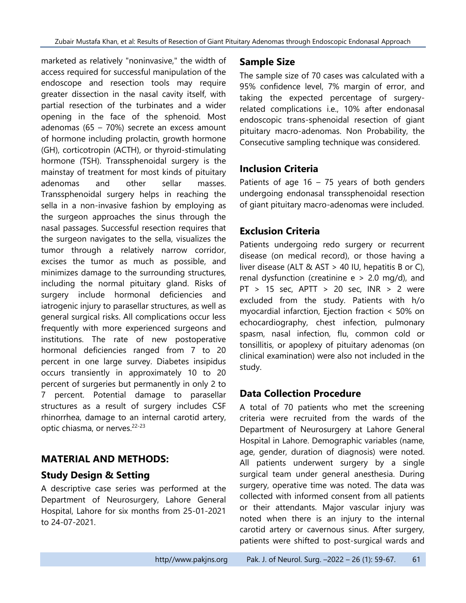marketed as relatively "noninvasive," the width of access required for successful manipulation of the endoscope and resection tools may require greater dissection in the nasal cavity itself, with partial resection of the turbinates and a wider opening in the face of the sphenoid. Most adenomas (65 – 70%) secrete an excess amount of hormone including prolactin, growth hormone (GH), corticotropin (ACTH), or thyroid-stimulating hormone (TSH). Transsphenoidal surgery is the mainstay of treatment for most kinds of pituitary adenomas and other sellar masses. Transsphenoidal surgery helps in reaching the sella in a non-invasive fashion by employing as the surgeon approaches the sinus through the nasal passages. Successful resection requires that the surgeon navigates to the sella, visualizes the tumor through a relatively narrow corridor, excises the tumor as much as possible, and minimizes damage to the surrounding structures, including the normal pituitary gland. Risks of surgery include hormonal deficiencies and iatrogenic injury to parasellar structures, as well as general surgical risks. All complications occur less frequently with more experienced surgeons and institutions. The rate of new postoperative hormonal deficiencies ranged from 7 to 20 percent in one large survey. Diabetes insipidus occurs transiently in approximately 10 to 20 percent of surgeries but permanently in only 2 to 7 percent. Potential damage to parasellar structures as a result of surgery includes CSF rhinorrhea, damage to an internal carotid artery, optic chiasma, or nerves.<sup>22-23</sup>

# **MATERIAL AND METHODS:**

### **Study Design & Setting**

A descriptive case series was performed at the Department of Neurosurgery, Lahore General Hospital, Lahore for six months from 25-01-2021 to 24-07-2021.

# **Sample Size**

The sample size of 70 cases was calculated with a 95% confidence level, 7% margin of error, and taking the expected percentage of surgeryrelated complications i.e., 10% after endonasal endoscopic trans-sphenoidal resection of giant pituitary macro-adenomas. Non Probability, the Consecutive sampling technique was considered.

# **Inclusion Criteria**

Patients of age  $16 - 75$  years of both genders undergoing endonasal transsphenoidal resection of giant pituitary macro-adenomas were included.

# **Exclusion Criteria**

Patients undergoing redo surgery or recurrent disease (on medical record), or those having a liver disease (ALT  $&$  AST > 40 IU, hepatitis B or C), renal dysfunction (creatinine  $e > 2.0$  mg/d), and  $PT > 15$  sec,  $APTT > 20$  sec,  $INR > 2$  were excluded from the study. Patients with h/o myocardial infarction, Ejection fraction < 50% on echocardiography, chest infection, pulmonary spasm, nasal infection, flu, common cold or tonsillitis, or apoplexy of pituitary adenomas (on clinical examination) were also not included in the study.

# **Data Collection Procedure**

A total of 70 patients who met the screening criteria were recruited from the wards of the Department of Neurosurgery at Lahore General Hospital in Lahore. Demographic variables (name, age, gender, duration of diagnosis) were noted. All patients underwent surgery by a single surgical team under general anesthesia. During surgery, operative time was noted. The data was collected with informed consent from all patients or their attendants. Major vascular injury was noted when there is an injury to the internal carotid artery or cavernous sinus. After surgery, patients were shifted to post-surgical wards and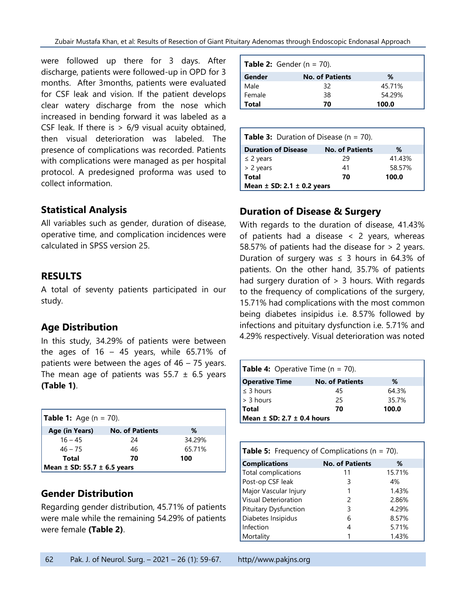were followed up there for 3 days. After discharge, patients were followed-up in OPD for 3 months. After 3months, patients were evaluated for CSF leak and vision. If the patient develops clear watery discharge from the nose which increased in bending forward it was labeled as a CSF leak. If there is  $> 6/9$  visual acuity obtained, then visual deterioration was labeled. The presence of complications was recorded. Patients with complications were managed as per hospital protocol. A predesigned proforma was used to collect information.

### **Statistical Analysis**

All variables such as gender, duration of disease, operative time, and complication incidences were calculated in SPSS version 25.

### **RESULTS**

A total of seventy patients participated in our study.

### **Age Distribution**

In this study, 34.29% of patients were between the ages of  $16 - 45$  years, while 65.71% of patients were between the ages of 46 – 75 years. The mean age of patients was  $55.7 \pm 6.5$  years **(Table 1)**.

| <b>Table 1:</b> Age ( $n = 70$ ).   |                        |        |
|-------------------------------------|------------------------|--------|
| Age (in Years)                      | <b>No. of Patients</b> | ℅      |
| $16 - 45$                           | 24                     | 34.29% |
| $46 - 75$                           | 46                     | 65.71% |
| Total                               | 70                     | 100    |
| Mean $\pm$ SD: 55.7 $\pm$ 6.5 years |                        |        |

### **Gender Distribution**

Regarding gender distribution, 45.71% of patients were male while the remaining 54.29% of patients were female **(Table 2)**.

| <b>Table 2:</b> Gender (n = 70). |                        |        |
|----------------------------------|------------------------|--------|
| Gender                           | <b>No. of Patients</b> | %      |
| Male                             | 32                     | 45.71% |
| Female                           | 38                     | 54.29% |
| Total                            | 70                     | 100.0  |

| <b>Table 3:</b> Duration of Disease ( $n = 70$ ). |                        |        |
|---------------------------------------------------|------------------------|--------|
| <b>Duration of Disease</b>                        | <b>No. of Patients</b> | ℅      |
| $\leq$ 2 years                                    | 29                     | 41.43% |
| > 2 years                                         | 41                     | 58.57% |
| <b>Total</b>                                      | 70                     | 100.0  |
| Mean $\pm$ SD: 2.1 $\pm$ 0.2 years                |                        |        |

# **Duration of Disease & Surgery**

With regards to the duration of disease, 41.43% of patients had a disease < 2 years, whereas 58.57% of patients had the disease for > 2 years. Duration of surgery was  $\leq$  3 hours in 64.3% of patients. On the other hand, 35.7% of patients had surgery duration of  $> 3$  hours. With regards to the frequency of complications of the surgery, 15.71% had complications with the most common being diabetes insipidus i.e. 8.57% followed by infections and pituitary dysfunction i.e. 5.71% and 4.29% respectively. Visual deterioration was noted

| <b>Table 4:</b> Operative Time ( $n = 70$ ). |                        |       |
|----------------------------------------------|------------------------|-------|
| <b>Operative Time</b>                        | <b>No. of Patients</b> | %     |
| $\leq$ 3 hours                               | 45                     | 64.3% |
| $\vert$ > 3 hours                            | 25                     | 35.7% |
| <b>Total</b>                                 | 70                     | 100.0 |
| Mean $\pm$ SD: 2.7 $\pm$ 0.4 hours           |                        |       |

| <b>Table 5:</b> Frequency of Complications ( $n = 70$ ). |                        |        |
|----------------------------------------------------------|------------------------|--------|
| <b>Complications</b>                                     | <b>No. of Patients</b> | ℅      |
| Total complications                                      | 11                     | 15.71% |
| Post-op CSF leak                                         | 3                      | 4%     |
| Major Vascular Injury                                    |                        | 1.43%  |
| Visual Deterioration                                     | 2                      | 2.86%  |
| Pituitary Dysfunction                                    | 3                      | 4.29%  |
| Diabetes Insipidus                                       | 6                      | 8.57%  |
| Infection                                                | 4                      | 5.71%  |
| Mortality                                                |                        | 1.43%  |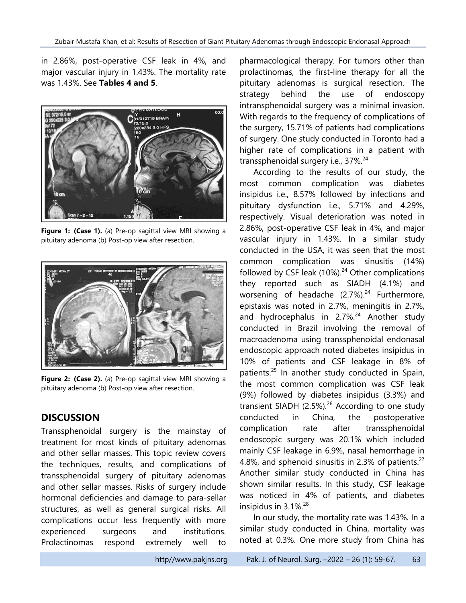in 2.86%, post-operative CSF leak in 4%, and major vascular injury in 1.43%. The mortality rate was 1.43%. See **Tables 4 and 5**.



**Figure 1: (Case 1).** (a) Pre-op sagittal view MRI showing a pituitary adenoma (b) Post-op view after resection.



**Figure 2: (Case 2).** (a) Pre-op sagittal view MRI showing a pituitary adenoma (b) Post-op view after resection.

### **DISCUSSION**

Transsphenoidal surgery is the mainstay of treatment for most kinds of pituitary adenomas and other sellar masses. This topic review covers the techniques, results, and complications of transsphenoidal surgery of pituitary adenomas and other sellar masses. Risks of surgery include hormonal deficiencies and damage to para-sellar structures, as well as general surgical risks. All complications occur less frequently with more experienced surgeons and institutions. Prolactinomas respond extremely well to

pharmacological therapy. For tumors other than prolactinomas, the first-line therapy for all the pituitary adenomas is surgical resection. The strategy behind the use of endoscopy intransphenoidal surgery was a minimal invasion. With regards to the frequency of complications of the surgery, 15.71% of patients had complications of surgery. One study conducted in Toronto had a higher rate of complications in a patient with transsphenoidal surgery i.e., 37%.<sup>24</sup>

According to the results of our study, the most common complication was diabetes insipidus i.e., 8.57% followed by infections and pituitary dysfunction i.e., 5.71% and 4.29%, respectively. Visual deterioration was noted in 2.86%, post-operative CSF leak in 4%, and major vascular injury in 1.43%. In a similar study conducted in the USA, it was seen that the most common complication was sinusitis (14%) followed by CSF leak (10%).<sup>24</sup> Other complications they reported such as SIADH (4.1%) and worsening of headache (2.7%).<sup>24</sup> Furthermore, epistaxis was noted in 2.7%, meningitis in 2.7%, and hydrocephalus in 2.7%.<sup>24</sup> Another study conducted in Brazil involving the removal of macroadenoma using transsphenoidal endonasal endoscopic approach noted diabetes insipidus in 10% of patients and CSF leakage in 8% of patients. <sup>25</sup> In another study conducted in Spain, the most common complication was CSF leak (9%) followed by diabetes insipidus (3.3%) and transient SIADH  $(2.5\%)$ .<sup>26</sup> According to one study conducted in China, the postoperative complication rate after transsphenoidal endoscopic surgery was 20.1% which included mainly CSF leakage in 6.9%, nasal hemorrhage in 4.8%, and sphenoid sinusitis in 2.3% of patients.<sup>27</sup> Another similar study conducted in China has shown similar results. In this study, CSF leakage was noticed in 4% of patients, and diabetes insipidus in 3.1%. 28

In our study, the mortality rate was 1.43%. In a similar study conducted in China, mortality was noted at 0.3%. One more study from China has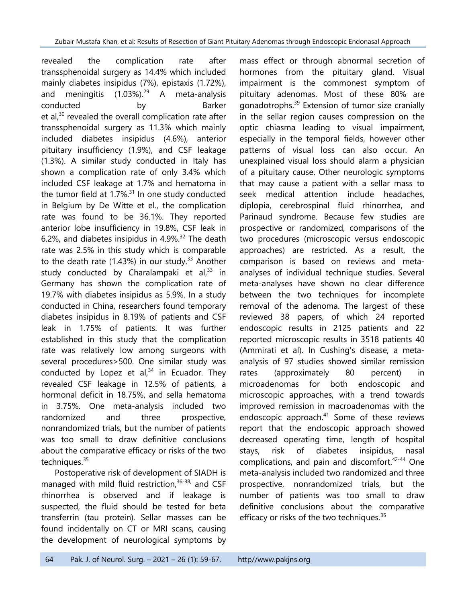revealed the complication rate after transsphenoidal surgery as 14.4% which included mainly diabetes insipidus (7%), epistaxis (1.72%), and meningitis (1.03%). <sup>29</sup> A meta-analysis conducted by Barker et al,<sup>30</sup> revealed the overall complication rate after transsphenoidal surgery as 11.3% which mainly included diabetes insipidus (4.6%), anterior pituitary insufficiency (1.9%), and CSF leakage (1.3%). A similar study conducted in Italy has shown a complication rate of only 3.4% which included CSF leakage at 1.7% and hematoma in the tumor field at 1.7%.<sup>31</sup> In one study conducted in Belgium by De Witte et el., the complication rate was found to be 36.1%. They reported anterior lobe insufficiency in 19.8%, CSF leak in 6.2%, and diabetes insipidus in 4.9%. <sup>32</sup> The death rate was 2.5% in this study which is comparable to the death rate (1.43%) in our study. $33$  Another study conducted by Charalampaki et al,<sup>33</sup> in Germany has shown the complication rate of 19.7% with diabetes insipidus as 5.9%. In a study conducted in China, researchers found temporary diabetes insipidus in 8.19% of patients and CSF leak in 1.75% of patients. It was further established in this study that the complication rate was relatively low among surgeons with several procedures>500. One similar study was conducted by Lopez et al, $34$  in Ecuador. They revealed CSF leakage in 12.5% of patients, a hormonal deficit in 18.75%, and sella hematoma in 3.75%. One meta-analysis included two randomized and three prospective, nonrandomized trials, but the number of patients was too small to draw definitive conclusions about the comparative efficacy or risks of the two techniques.<sup>35</sup>

Postoperative risk of development of SIADH is managed with mild fluid restriction,<sup>36-38,</sup> and CSF rhinorrhea is observed and if leakage is suspected, the fluid should be tested for beta transferrin (tau protein). Sellar masses can be found incidentally on CT or MRI scans, causing the development of neurological symptoms by

mass effect or through abnormal secretion of hormones from the pituitary gland. Visual impairment is the commonest symptom of pituitary adenomas. Most of these 80% are gonadotrophs. 39 Extension of tumor size cranially in the sellar region causes compression on the optic chiasma leading to visual impairment, especially in the temporal fields, however other patterns of visual loss can also occur. An unexplained visual loss should alarm a physician of a pituitary cause. Other neurologic symptoms that may cause a patient with a sellar mass to seek medical attention include headaches, diplopia, cerebrospinal fluid rhinorrhea, and Parinaud syndrome. Because few studies are prospective or randomized, comparisons of the two procedures (microscopic versus endoscopic approaches) are restricted. As a result, the comparison is based on reviews and metaanalyses of individual technique studies. Several meta-analyses have shown no clear difference between the two techniques for incomplete removal of the adenoma. The largest of these reviewed 38 papers, of which 24 reported endoscopic results in 2125 patients and 22 reported microscopic results in 3518 patients 40 (Ammirati et al). In Cushing's disease, a metaanalysis of 97 studies showed similar remission rates (approximately 80 percent) in microadenomas for both endoscopic and microscopic approaches, with a trend towards improved remission in macroadenomas with the endoscopic approach. <sup>41</sup> Some of these reviews report that the endoscopic approach showed decreased operating time, length of hospital stays, risk of diabetes insipidus, nasal complications, and pain and discomfort. 42-44 One meta-analysis included two randomized and three prospective, nonrandomized trials, but the number of patients was too small to draw definitive conclusions about the comparative efficacy or risks of the two techniques.<sup>35</sup>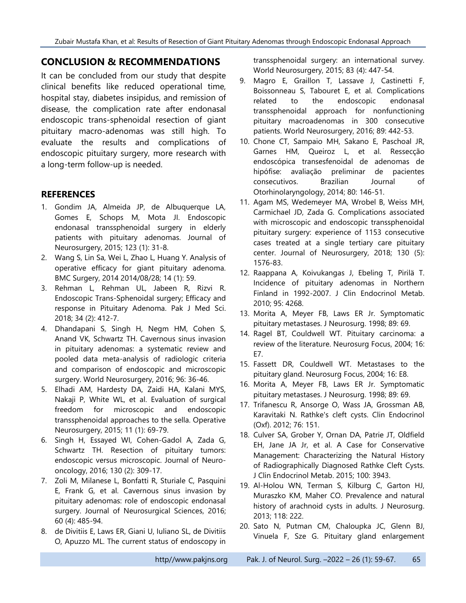#### **CONCLUSION & RECOMMENDATIONS**

It can be concluded from our study that despite clinical benefits like reduced operational time, hospital stay, diabetes insipidus, and remission of disease, the complication rate after endonasal endoscopic trans-sphenoidal resection of giant pituitary macro-adenomas was still high. To evaluate the results and complications of endoscopic pituitary surgery, more research with a long-term follow-up is needed.

#### **REFERENCES**

- 1. Gondim JA, Almeida JP, de Albuquerque LA, Gomes E, Schops M, Mota JI. Endoscopic endonasal transsphenoidal surgery in elderly patients with pituitary adenomas. Journal of Neurosurgery, 2015; 123 (1): 31-8.
- 2. Wang S, Lin Sa, Wei L, Zhao L, Huang Y. Analysis of operative efficacy for giant pituitary adenoma. BMC Surgery, 2014 2014/08/28; 14 (1): 59.
- 3. Rehman L, Rehman UL, Jabeen R, Rizvi R. Endoscopic Trans-Sphenoidal surgery; Efficacy and response in Pituitary Adenoma. Pak J Med Sci. 2018; 34 (2): 412-7.
- 4. Dhandapani S, Singh H, Negm HM, Cohen S, Anand VK, Schwartz TH. Cavernous sinus invasion in pituitary adenomas: a systematic review and pooled data meta-analysis of radiologic criteria and comparison of endoscopic and microscopic surgery. World Neurosurgery, 2016; 96: 36-46.
- 5. Elhadi AM, Hardesty DA, Zaidi HA, Kalani MYS, Nakaji P, White WL, et al. Evaluation of surgical freedom for microscopic and endoscopic transsphenoidal approaches to the sella. Operative Neurosurgery, 2015; 11 (1): 69-79.
- 6. Singh H, Essayed WI, Cohen-Gadol A, Zada G, Schwartz TH. Resection of pituitary tumors: endoscopic versus microscopic. Journal of Neurooncology, 2016; 130 (2): 309-17.
- 7. Zoli M, Milanese L, Bonfatti R, Sturiale C, Pasquini E, Frank G, et al. Cavernous sinus invasion by pituitary adenomas: role of endoscopic endonasal surgery. Journal of Neurosurgical Sciences, 2016; 60 (4): 485-94.
- 8. de Divitiis E, Laws ER, Giani U, Iuliano SL, de Divitiis O, Apuzzo ML. The current status of endoscopy in

transsphenoidal surgery: an international survey. World Neurosurgery, 2015; 83 (4): 447-54.

- 9. Magro E, Graillon T, Lassave J, Castinetti F, Boissonneau S, Tabouret E, et al. Complications related to the endoscopic endonasal transsphenoidal approach for nonfunctioning pituitary macroadenomas in 300 consecutive patients. World Neurosurgery, 2016; 89: 442-53.
- 10. Chone CT, Sampaio MH, Sakano E, Paschoal JR, Garnes HM, Queiroz L, et al. Ressecção endoscópica transesfenoidal de adenomas de hipófise: avaliação preliminar de pacientes consecutivos. Brazilian Journal of Otorhinolaryngology, 2014; 80: 146-51.
- 11. Agam MS, Wedemeyer MA, Wrobel B, Weiss MH, Carmichael JD, Zada G. Complications associated with microscopic and endoscopic transsphenoidal pituitary surgery: experience of 1153 consecutive cases treated at a single tertiary care pituitary center. Journal of Neurosurgery, 2018; 130 (5): 1576-83.
- 12. Raappana A, Koivukangas J, Ebeling T, Pirilä T. Incidence of pituitary adenomas in Northern Finland in 1992-2007. J Clin Endocrinol Metab. 2010; 95: 4268.
- 13. Morita A, Meyer FB, Laws ER Jr. Symptomatic pituitary metastases. J Neurosurg. 1998; 89: 69.
- 14. Ragel BT, Couldwell WT. Pituitary carcinoma: a review of the literature. Neurosurg Focus, 2004; 16: E7.
- 15. Fassett DR, Couldwell WT. Metastases to the pituitary gland. Neurosurg Focus, 2004; 16: E8.
- 16. Morita A, Meyer FB, Laws ER Jr. Symptomatic pituitary metastases. J Neurosurg. 1998; 89: 69.
- 17. Trifanescu R, Ansorge O, Wass JA, Grossman AB, Karavitaki N. Rathke's cleft cysts. Clin Endocrinol (Oxf). 2012; 76: 151.
- 18. Culver SA, Grober Y, Ornan DA, Patrie JT, Oldfield EH, Jane JA Jr, et al. A Case for Conservative Management: Characterizing the Natural History of Radiographically Diagnosed Rathke Cleft Cysts. J Clin Endocrinol Metab. 2015; 100: 3943.
- 19. Al-Holou WN, Terman S, Kilburg C, Garton HJ, Muraszko KM, Maher CO. Prevalence and natural history of arachnoid cysts in adults. J Neurosurg. 2013; 118: 222.
- 20. Sato N, Putman CM, Chaloupka JC, Glenn BJ, Vinuela F, Sze G. Pituitary gland enlargement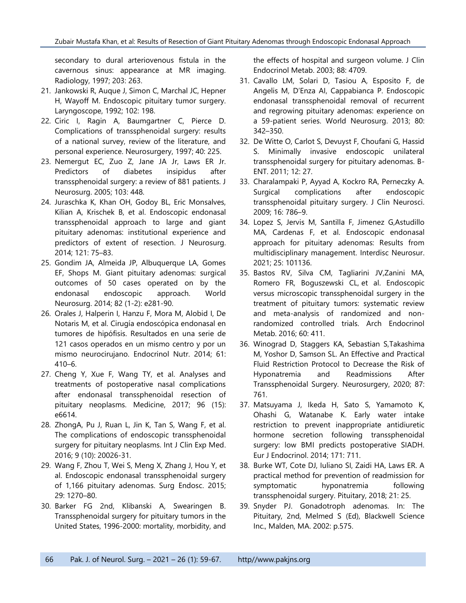secondary to dural arteriovenous fistula in the cavernous sinus: appearance at MR imaging. Radiology, 1997; 203: 263.

- 21. Jankowski R, Auque J, Simon C, Marchal JC, Hepner H, Wayoff M. Endoscopic pituitary tumor surgery. Laryngoscope, 1992; 102: 198.
- 22. Ciric I, Ragin A, Baumgartner C, Pierce D. Complications of transsphenoidal surgery: results of a national survey, review of the literature, and personal experience. Neurosurgery, 1997; 40: 225.
- 23. Nemergut EC, Zuo Z, Jane JA Jr, Laws ER Jr. Predictors of diabetes insipidus after transsphenoidal surgery: a review of 881 patients. J Neurosurg. 2005; 103: 448.
- 24. Juraschka K, Khan OH, Godoy BL, Eric Monsalves, Kilian A, Krischek B, et al. Endoscopic endonasal transsphenoidal approach to large and giant pituitary adenomas: institutional experience and predictors of extent of resection. J Neurosurg. 2014; 121: 75–83.
- 25. Gondim JA, Almeida JP, Albuquerque LA, Gomes EF, Shops M. Giant pituitary adenomas: surgical outcomes of 50 cases operated on by the endonasal endoscopic approach. World Neurosurg. 2014; 82 (1-2): e281-90.
- 26. Orales J, Halperin I, Hanzu F, Mora M, Alobid I, De Notaris M, et al. Cirugía endoscópica endonasal en tumores de hipófisis. Resultados en una serie de 121 casos operados en un mismo centro y por un mismo neurocirujano. Endocrinol Nutr. 2014; 61: 410–6.
- 27. Cheng Y, Xue F, Wang TY, et al. Analyses and treatments of postoperative nasal complications after endonasal transsphenoidal resection of pituitary neoplasms. Medicine, 2017; 96 (15): e6614.
- 28. ZhongA, Pu J, Ruan L, Jin K, Tan S, Wang F, et al. The complications of endoscopic transsphenoidal surgery for pituitary neoplasms. Int J Clin Exp Med. 2016; 9 (10): 20026-31.
- 29. Wang F, Zhou T, Wei S, Meng X, Zhang J, Hou Y, et al. Endoscopic endonasal transsphenoidal surgery of 1,166 pituitary adenomas. Surg Endosc. 2015; 29: 1270–80.
- 30. Barker FG 2nd, Klibanski A, Swearingen B. Transsphenoidal surgery for pituitary tumors in the United States, 1996-2000: mortality, morbidity, and

the effects of hospital and surgeon volume. J Clin Endocrinol Metab. 2003; 88: 4709.

- 31. Cavallo LM, Solari D, Tasiou A, Esposito F, de Angelis M, D'Enza AI, Cappabianca P. Endoscopic endonasal transsphenoidal removal of recurrent and regrowing pituitary adenomas: experience on a 59-patient series. World Neurosurg. 2013; 80: 342–350.
- 32. De Witte O, Carlot S, Devuyst F, Choufani G, Hassid S. Minimally invasive endoscopic unilateral transsphenoidal surgery for pituitary adenomas. B-ENT. 2011; 12: 27.
- 33. Charalampaki P, Ayyad A, Kockro RA, Perneczky A. Surgical complications after endoscopic transsphenoidal pituitary surgery. J Clin Neurosci. 2009; 16: 786–9.
- 34. Lopez S, Jervis M, Santilla F, Jimenez G,Astudillo MA, Cardenas F, et al. Endoscopic endonasal approach for pituitary adenomas: Results from multidisciplinary management. Interdisc Neurosur. 2021; 25: 101136.
- 35. Bastos RV, Silva CM, Tagliarini JV,Zanini MA, Romero FR, Boguszewski CL, et al. Endoscopic versus microscopic transsphenoidal surgery in the treatment of pituitary tumors: systematic review and meta-analysis of randomized and nonrandomized controlled trials. Arch Endocrinol Metab. 2016; 60: 411.
- 36. Winograd D, Staggers KA, Sebastian S,Takashima M, Yoshor D, Samson SL. An Effective and Practical Fluid Restriction Protocol to Decrease the Risk of Hyponatremia and Readmissions After Transsphenoidal Surgery. Neurosurgery, 2020; 87: 761.
- 37. Matsuyama J, Ikeda H, Sato S, Yamamoto K, Ohashi G, Watanabe K. Early water intake restriction to prevent inappropriate antidiuretic hormone secretion following transsphenoidal surgery: low BMI predicts postoperative SIADH. Eur J Endocrinol. 2014; 171: 711.
- 38. Burke WT, Cote DJ, Iuliano SI, Zaidi HA, Laws ER. A practical method for prevention of readmission for symptomatic hyponatremia following transsphenoidal surgery. Pituitary, 2018; 21: 25.
- 39. Snyder PJ. Gonadotroph adenomas. In: The Pituitary, 2nd, Melmed S (Ed), Blackwell Science Inc., Malden, MA. 2002: p.575.